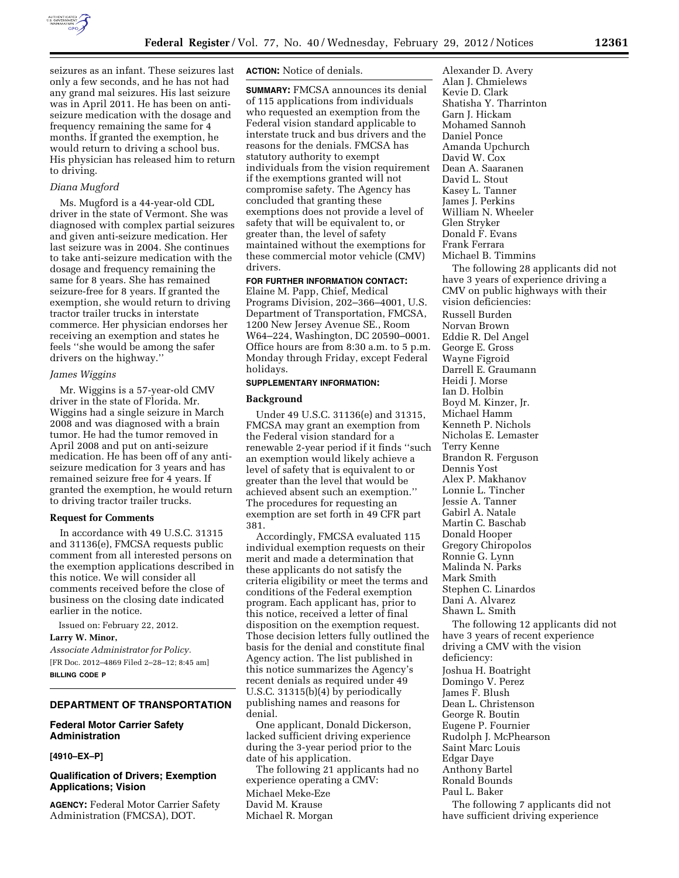

seizures as an infant. These seizures last only a few seconds, and he has not had any grand mal seizures. His last seizure was in April 2011. He has been on antiseizure medication with the dosage and frequency remaining the same for 4 months. If granted the exemption, he would return to driving a school bus. His physician has released him to return to driving.

## *Diana Mugford*

Ms. Mugford is a 44-year-old CDL driver in the state of Vermont. She was diagnosed with complex partial seizures and given anti-seizure medication. Her last seizure was in 2004. She continues to take anti-seizure medication with the dosage and frequency remaining the same for 8 years. She has remained seizure-free for 8 years. If granted the exemption, she would return to driving tractor trailer trucks in interstate commerce. Her physician endorses her receiving an exemption and states he feels ''she would be among the safer drivers on the highway.''

#### *James Wiggins*

Mr. Wiggins is a 57-year-old CMV driver in the state of Florida. Mr. Wiggins had a single seizure in March 2008 and was diagnosed with a brain tumor. He had the tumor removed in April 2008 and put on anti-seizure medication. He has been off of any antiseizure medication for 3 years and has remained seizure free for 4 years. If granted the exemption, he would return to driving tractor trailer trucks.

#### **Request for Comments**

In accordance with 49 U.S.C. 31315 and 31136(e), FMCSA requests public comment from all interested persons on the exemption applications described in this notice. We will consider all comments received before the close of business on the closing date indicated earlier in the notice.

Issued on: February 22, 2012.

**Larry W. Minor,** 

*Associate Administrator for Policy.*  [FR Doc. 2012–4869 Filed 2–28–12; 8:45 am] **BILLING CODE P** 

#### **DEPARTMENT OF TRANSPORTATION**

## **Federal Motor Carrier Safety Administration**

### **[4910–EX–P]**

## **Qualification of Drivers; Exemption Applications; Vision**

**AGENCY:** Federal Motor Carrier Safety Administration (FMCSA), DOT.

**ACTION:** Notice of denials.

**SUMMARY:** FMCSA announces its denial of 115 applications from individuals who requested an exemption from the Federal vision standard applicable to interstate truck and bus drivers and the reasons for the denials. FMCSA has statutory authority to exempt individuals from the vision requirement if the exemptions granted will not compromise safety. The Agency has concluded that granting these exemptions does not provide a level of safety that will be equivalent to, or greater than, the level of safety maintained without the exemptions for these commercial motor vehicle (CMV) drivers.

### **FOR FURTHER INFORMATION CONTACT:**

Elaine M. Papp, Chief, Medical Programs Division, 202–366–4001, U.S. Department of Transportation, FMCSA, 1200 New Jersey Avenue SE., Room W64–224, Washington, DC 20590–0001. Office hours are from 8:30 a.m. to 5 p.m. Monday through Friday, except Federal holidays.

# **SUPPLEMENTARY INFORMATION:**

#### **Background**

Under 49 U.S.C. 31136(e) and 31315, FMCSA may grant an exemption from the Federal vision standard for a renewable 2-year period if it finds ''such an exemption would likely achieve a level of safety that is equivalent to or greater than the level that would be achieved absent such an exemption.'' The procedures for requesting an exemption are set forth in 49 CFR part 381.

Accordingly, FMCSA evaluated 115 individual exemption requests on their merit and made a determination that these applicants do not satisfy the criteria eligibility or meet the terms and conditions of the Federal exemption program. Each applicant has, prior to this notice, received a letter of final disposition on the exemption request. Those decision letters fully outlined the basis for the denial and constitute final Agency action. The list published in this notice summarizes the Agency's recent denials as required under 49 U.S.C. 31315(b)(4) by periodically publishing names and reasons for denial.

One applicant, Donald Dickerson, lacked sufficient driving experience during the 3-year period prior to the date of his application.

The following 21 applicants had no experience operating a CMV: Michael Meke-Eze David M. Krause Michael R. Morgan

Alexander D. Avery Alan J. Chmielews Kevie D. Clark Shatisha Y. Tharrinton Garn J. Hickam Mohamed Sannoh Daniel Ponce Amanda Upchurch David W. Cox Dean A. Saaranen David L. Stout Kasey L. Tanner James J. Perkins William N. Wheeler Glen Stryker Donald F. Evans Frank Ferrara Michael B. Timmins The following 28 applicants did not have 3 years of experience driving a CMV on public highways with their vision deficiencies: Russell Burden Norvan Brown Eddie R. Del Angel George E. Gross Wayne Figroid Darrell E. Graumann Heidi J. Morse Ian D. Holbin Boyd M. Kinzer, Jr. Michael Hamm Kenneth P. Nichols Nicholas E. Lemaster Terry Kenne Brandon R. Ferguson Dennis Yost Alex P. Makhanov Lonnie L. Tincher Jessie A. Tanner Gabirl A. Natale Martin C. Baschab Donald Hooper Gregory Chiropolos Ronnie G. Lynn Malinda N. Parks Mark Smith Stephen C. Linardos Dani A. Alvarez Shawn L. Smith The following 12 applicants did not

have 3 years of recent experience driving a CMV with the vision deficiency: Joshua H. Boatright Domingo V. Perez James F. Blush Dean L. Christenson George R. Boutin Eugene P. Fournier Rudolph J. McPhearson Saint Marc Louis Edgar Daye Anthony Bartel Ronald Bounds

Paul L. Baker The following 7 applicants did not

have sufficient driving experience